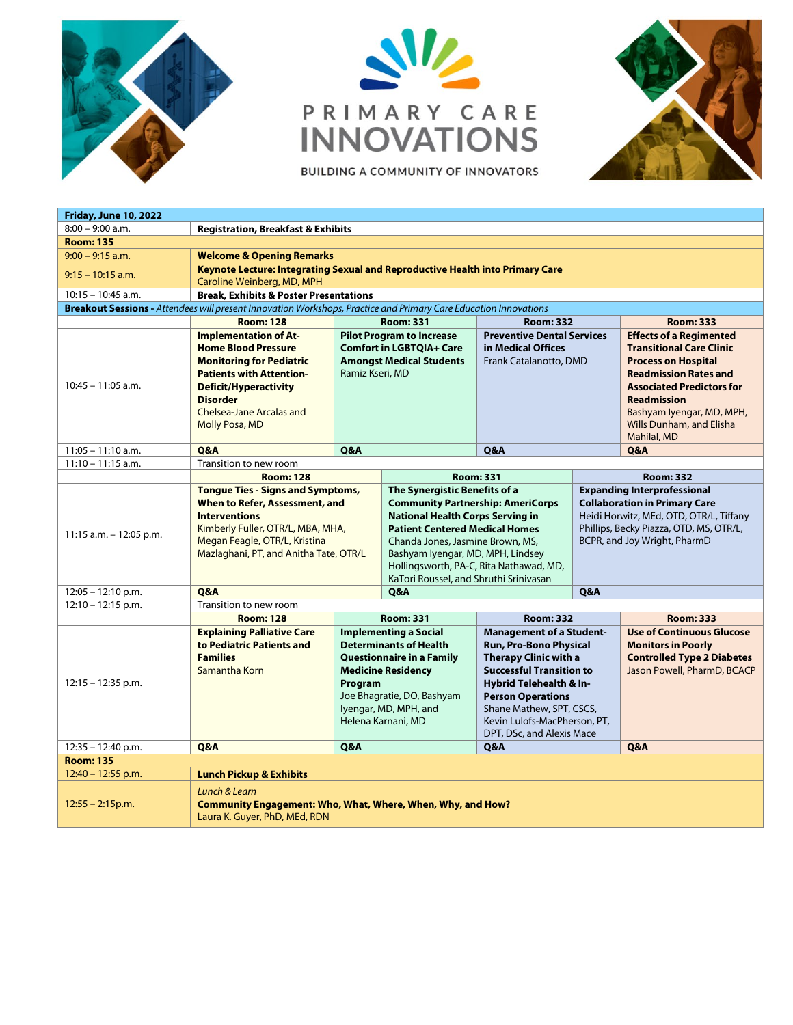





| <b>Friday, June 10, 2022</b>                                                                                     |                                                                                                                                                                                                                                                 |                                                                                                                                                                                                                 |                                                                                                                                                                                                                                                                                                                             |                                                                                                                                                                                                                                                                              |                                                                                                                                                                                                  |                                                                                                                                                                                                                                                                   |  |  |  |  |
|------------------------------------------------------------------------------------------------------------------|-------------------------------------------------------------------------------------------------------------------------------------------------------------------------------------------------------------------------------------------------|-----------------------------------------------------------------------------------------------------------------------------------------------------------------------------------------------------------------|-----------------------------------------------------------------------------------------------------------------------------------------------------------------------------------------------------------------------------------------------------------------------------------------------------------------------------|------------------------------------------------------------------------------------------------------------------------------------------------------------------------------------------------------------------------------------------------------------------------------|--------------------------------------------------------------------------------------------------------------------------------------------------------------------------------------------------|-------------------------------------------------------------------------------------------------------------------------------------------------------------------------------------------------------------------------------------------------------------------|--|--|--|--|
| $8:00 - 9:00$ a.m.                                                                                               | <b>Registration, Breakfast &amp; Exhibits</b>                                                                                                                                                                                                   |                                                                                                                                                                                                                 |                                                                                                                                                                                                                                                                                                                             |                                                                                                                                                                                                                                                                              |                                                                                                                                                                                                  |                                                                                                                                                                                                                                                                   |  |  |  |  |
| <b>Room: 135</b>                                                                                                 |                                                                                                                                                                                                                                                 |                                                                                                                                                                                                                 |                                                                                                                                                                                                                                                                                                                             |                                                                                                                                                                                                                                                                              |                                                                                                                                                                                                  |                                                                                                                                                                                                                                                                   |  |  |  |  |
| $9:00 - 9:15$ a.m.                                                                                               | <b>Welcome &amp; Opening Remarks</b>                                                                                                                                                                                                            |                                                                                                                                                                                                                 |                                                                                                                                                                                                                                                                                                                             |                                                                                                                                                                                                                                                                              |                                                                                                                                                                                                  |                                                                                                                                                                                                                                                                   |  |  |  |  |
| $9:15 - 10:15$ a.m.                                                                                              | Keynote Lecture: Integrating Sexual and Reproductive Health into Primary Care<br>Caroline Weinberg, MD, MPH                                                                                                                                     |                                                                                                                                                                                                                 |                                                                                                                                                                                                                                                                                                                             |                                                                                                                                                                                                                                                                              |                                                                                                                                                                                                  |                                                                                                                                                                                                                                                                   |  |  |  |  |
| <b>Break, Exhibits &amp; Poster Presentations</b><br>$10:15 - 10:45$ a.m.                                        |                                                                                                                                                                                                                                                 |                                                                                                                                                                                                                 |                                                                                                                                                                                                                                                                                                                             |                                                                                                                                                                                                                                                                              |                                                                                                                                                                                                  |                                                                                                                                                                                                                                                                   |  |  |  |  |
| Breakout Sessions - Attendees will present Innovation Workshops, Practice and Primary Care Education Innovations |                                                                                                                                                                                                                                                 |                                                                                                                                                                                                                 |                                                                                                                                                                                                                                                                                                                             |                                                                                                                                                                                                                                                                              |                                                                                                                                                                                                  |                                                                                                                                                                                                                                                                   |  |  |  |  |
|                                                                                                                  | <b>Room: 128</b>                                                                                                                                                                                                                                | <b>Room: 331</b>                                                                                                                                                                                                |                                                                                                                                                                                                                                                                                                                             | <b>Room: 332</b>                                                                                                                                                                                                                                                             |                                                                                                                                                                                                  | <b>Room: 333</b>                                                                                                                                                                                                                                                  |  |  |  |  |
| $10:45 - 11:05$ a.m.                                                                                             | <b>Implementation of At-</b><br><b>Home Blood Pressure</b><br><b>Monitoring for Pediatric</b><br><b>Patients with Attention-</b><br><b>Deficit/Hyperactivity</b><br><b>Disorder</b><br><b>Chelsea-Jane Arcalas and</b><br><b>Molly Posa, MD</b> | <b>Pilot Program to Increase</b><br><b>Comfort in LGBTQIA+ Care</b><br><b>Amongst Medical Students</b><br>Ramiz Kseri, MD                                                                                       |                                                                                                                                                                                                                                                                                                                             | <b>Preventive Dental Services</b><br>in Medical Offices<br>Frank Catalanotto, DMD                                                                                                                                                                                            |                                                                                                                                                                                                  | <b>Effects of a Regimented</b><br><b>Transitional Care Clinic</b><br><b>Process on Hospital</b><br><b>Readmission Rates and</b><br><b>Associated Predictors for</b><br><b>Readmission</b><br>Bashyam Iyengar, MD, MPH,<br>Wills Dunham, and Elisha<br>Mahilal, MD |  |  |  |  |
| $11:05 - 11:10$ a.m.                                                                                             | Q&A                                                                                                                                                                                                                                             | Q&A                                                                                                                                                                                                             |                                                                                                                                                                                                                                                                                                                             | Q&A                                                                                                                                                                                                                                                                          |                                                                                                                                                                                                  | Q&A                                                                                                                                                                                                                                                               |  |  |  |  |
| $11:10 - 11:15$ a.m.                                                                                             | Transition to new room                                                                                                                                                                                                                          |                                                                                                                                                                                                                 |                                                                                                                                                                                                                                                                                                                             |                                                                                                                                                                                                                                                                              |                                                                                                                                                                                                  |                                                                                                                                                                                                                                                                   |  |  |  |  |
|                                                                                                                  | <b>Room: 332</b><br><b>Room: 128</b><br><b>Room: 331</b>                                                                                                                                                                                        |                                                                                                                                                                                                                 |                                                                                                                                                                                                                                                                                                                             |                                                                                                                                                                                                                                                                              |                                                                                                                                                                                                  |                                                                                                                                                                                                                                                                   |  |  |  |  |
| 11:15 a.m. - 12:05 p.m.                                                                                          | <b>Tonque Ties - Signs and Symptoms,</b><br>When to Refer, Assessment, and<br><b>Interventions</b><br>Kimberly Fuller, OTR/L, MBA, MHA,<br>Megan Feagle, OTR/L, Kristina<br>Mazlaghani, PT, and Anitha Tate, OTR/L                              |                                                                                                                                                                                                                 | The Synergistic Benefits of a<br><b>Community Partnership: AmeriCorps</b><br><b>National Health Corps Serving in</b><br><b>Patient Centered Medical Homes</b><br>Chanda Jones, Jasmine Brown, MS,<br>Bashyam Iyengar, MD, MPH, Lindsey<br>Hollingsworth, PA-C, Rita Nathawad, MD,<br>KaTori Roussel, and Shruthi Srinivasan |                                                                                                                                                                                                                                                                              | <b>Expanding Interprofessional</b><br><b>Collaboration in Primary Care</b><br>Heidi Horwitz, MEd, OTD, OTR/L, Tiffany<br>Phillips, Becky Piazza, OTD, MS, OTR/L,<br>BCPR, and Joy Wright, PharmD |                                                                                                                                                                                                                                                                   |  |  |  |  |
| $12:05 - 12:10$ p.m.                                                                                             | <b>Q&amp;A</b>                                                                                                                                                                                                                                  | Q&A                                                                                                                                                                                                             |                                                                                                                                                                                                                                                                                                                             |                                                                                                                                                                                                                                                                              |                                                                                                                                                                                                  |                                                                                                                                                                                                                                                                   |  |  |  |  |
| 12:10 - 12:15 p.m.                                                                                               | Q&A<br>Transition to new room                                                                                                                                                                                                                   |                                                                                                                                                                                                                 |                                                                                                                                                                                                                                                                                                                             |                                                                                                                                                                                                                                                                              |                                                                                                                                                                                                  |                                                                                                                                                                                                                                                                   |  |  |  |  |
|                                                                                                                  | <b>Room: 128</b>                                                                                                                                                                                                                                | <b>Room: 331</b>                                                                                                                                                                                                |                                                                                                                                                                                                                                                                                                                             | <b>Room: 332</b>                                                                                                                                                                                                                                                             |                                                                                                                                                                                                  | <b>Room: 333</b>                                                                                                                                                                                                                                                  |  |  |  |  |
| $12:15 - 12:35$ p.m.                                                                                             | <b>Explaining Palliative Care</b><br>to Pediatric Patients and<br><b>Families</b><br>Samantha Korn                                                                                                                                              | <b>Implementing a Social</b><br><b>Determinants of Health</b><br>Questionnaire in a Family<br><b>Medicine Residency</b><br>Program<br>Joe Bhagratie, DO, Bashyam<br>lyengar, MD, MPH, and<br>Helena Karnani, MD |                                                                                                                                                                                                                                                                                                                             | <b>Management of a Student-</b><br>Run, Pro-Bono Physical<br><b>Therapy Clinic with a</b><br><b>Successful Transition to</b><br>Hybrid Telehealth & In-<br><b>Person Operations</b><br>Shane Mathew, SPT, CSCS,<br>Kevin Lulofs-MacPherson, PT,<br>DPT, DSc, and Alexis Mace |                                                                                                                                                                                                  | <b>Use of Continuous Glucose</b><br><b>Monitors in Poorly</b><br><b>Controlled Type 2 Diabetes</b><br>Jason Powell, PharmD, BCACP                                                                                                                                 |  |  |  |  |
| 12:35 - 12:40 p.m.                                                                                               | Q&A                                                                                                                                                                                                                                             | <b>Q&amp;A</b>                                                                                                                                                                                                  |                                                                                                                                                                                                                                                                                                                             | <b>Q&amp;A</b>                                                                                                                                                                                                                                                               |                                                                                                                                                                                                  | <b>Q&amp;A</b>                                                                                                                                                                                                                                                    |  |  |  |  |
| <b>Room: 135</b>                                                                                                 |                                                                                                                                                                                                                                                 |                                                                                                                                                                                                                 |                                                                                                                                                                                                                                                                                                                             |                                                                                                                                                                                                                                                                              |                                                                                                                                                                                                  |                                                                                                                                                                                                                                                                   |  |  |  |  |
| $12:40 - 12:55$ p.m.                                                                                             | <b>Lunch Pickup &amp; Exhibits</b>                                                                                                                                                                                                              |                                                                                                                                                                                                                 |                                                                                                                                                                                                                                                                                                                             |                                                                                                                                                                                                                                                                              |                                                                                                                                                                                                  |                                                                                                                                                                                                                                                                   |  |  |  |  |
| $12:55 - 2:15p.m.$                                                                                               | Lunch & Learn<br>Community Engagement: Who, What, Where, When, Why, and How?<br>Laura K. Guyer, PhD, MEd, RDN                                                                                                                                   |                                                                                                                                                                                                                 |                                                                                                                                                                                                                                                                                                                             |                                                                                                                                                                                                                                                                              |                                                                                                                                                                                                  |                                                                                                                                                                                                                                                                   |  |  |  |  |